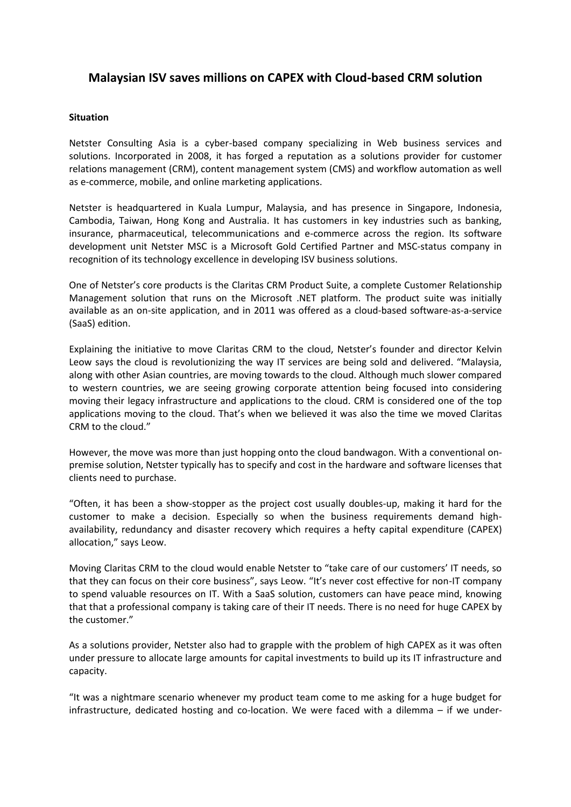# **Malaysian ISV saves millions on CAPEX with Cloud-based CRM solution**

# **Situation**

Netster Consulting Asia is a cyber-based company specializing in Web business services and solutions. Incorporated in 2008, it has forged a reputation as a solutions provider for customer relations management (CRM), content management system (CMS) and workflow automation as well as e-commerce, mobile, and online marketing applications.

Netster is headquartered in Kuala Lumpur, Malaysia, and has presence in Singapore, Indonesia, Cambodia, Taiwan, Hong Kong and Australia. It has customers in key industries such as banking, insurance, pharmaceutical, telecommunications and e-commerce across the region. Its software development unit Netster MSC is a Microsoft Gold Certified Partner and MSC-status company in recognition of its technology excellence in developing ISV business solutions.

One of Netster's core products is the Claritas CRM Product Suite, a complete Customer Relationship Management solution that runs on the Microsoft .NET platform. The product suite was initially available as an on-site application, and in 2011 was offered as a cloud-based software-as-a-service (SaaS) edition.

Explaining the initiative to move Claritas CRM to the cloud, Netster's founder and director Kelvin Leow says the cloud is revolutionizing the way IT services are being sold and delivered. "Malaysia, along with other Asian countries, are moving towards to the cloud. Although much slower compared to western countries, we are seeing growing corporate attention being focused into considering moving their legacy infrastructure and applications to the cloud. CRM is considered one of the top applications moving to the cloud. That's when we believed it was also the time we moved Claritas CRM to the cloud."

However, the move was more than just hopping onto the cloud bandwagon. With a conventional onpremise solution, Netster typically has to specify and cost in the hardware and software licenses that clients need to purchase.

"Often, it has been a show-stopper as the project cost usually doubles-up, making it hard for the customer to make a decision. Especially so when the business requirements demand highavailability, redundancy and disaster recovery which requires a hefty capital expenditure (CAPEX) allocation," says Leow.

Moving Claritas CRM to the cloud would enable Netster to "take care of our customers' IT needs, so that they can focus on their core business", says Leow. "It's never cost effective for non-IT company to spend valuable resources on IT. With a SaaS solution, customers can have peace mind, knowing that that a professional company is taking care of their IT needs. There is no need for huge CAPEX by the customer."

As a solutions provider, Netster also had to grapple with the problem of high CAPEX as it was often under pressure to allocate large amounts for capital investments to build up its IT infrastructure and capacity.

"It was a nightmare scenario whenever my product team come to me asking for a huge budget for infrastructure, dedicated hosting and co-location. We were faced with a dilemma – if we under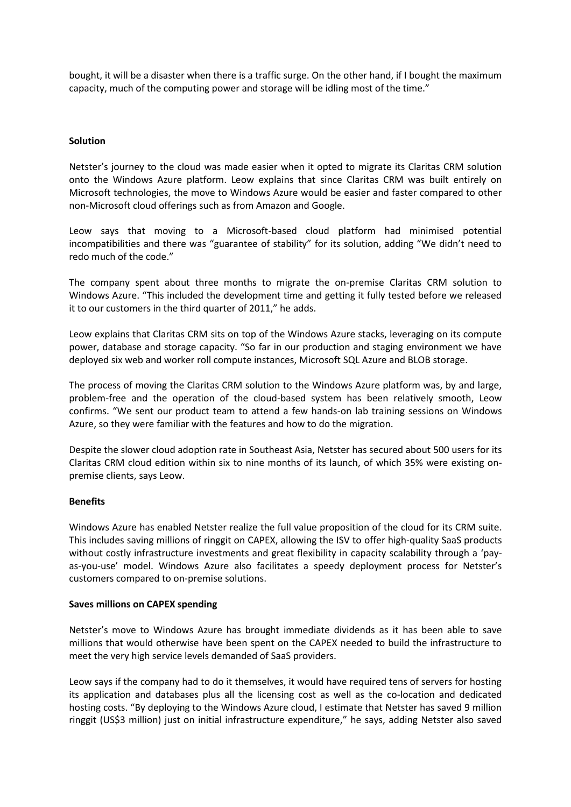bought, it will be a disaster when there is a traffic surge. On the other hand, if I bought the maximum capacity, much of the computing power and storage will be idling most of the time."

## **Solution**

Netster's journey to the cloud was made easier when it opted to migrate its Claritas CRM solution onto the Windows Azure platform. Leow explains that since Claritas CRM was built entirely on Microsoft technologies, the move to Windows Azure would be easier and faster compared to other non-Microsoft cloud offerings such as from Amazon and Google.

Leow says that moving to a Microsoft-based cloud platform had minimised potential incompatibilities and there was "guarantee of stability" for its solution, adding "We didn't need to redo much of the code."

The company spent about three months to migrate the on-premise Claritas CRM solution to Windows Azure. "This included the development time and getting it fully tested before we released it to our customers in the third quarter of 2011," he adds.

Leow explains that Claritas CRM sits on top of the Windows Azure stacks, leveraging on its compute power, database and storage capacity. "So far in our production and staging environment we have deployed six web and worker roll compute instances, Microsoft SQL Azure and BLOB storage.

The process of moving the Claritas CRM solution to the Windows Azure platform was, by and large, problem-free and the operation of the cloud-based system has been relatively smooth, Leow confirms. "We sent our product team to attend a few hands-on lab training sessions on Windows Azure, so they were familiar with the features and how to do the migration.

Despite the slower cloud adoption rate in Southeast Asia, Netster has secured about 500 users for its Claritas CRM cloud edition within six to nine months of its launch, of which 35% were existing onpremise clients, says Leow.

#### **Benefits**

Windows Azure has enabled Netster realize the full value proposition of the cloud for its CRM suite. This includes saving millions of ringgit on CAPEX, allowing the ISV to offer high-quality SaaS products without costly infrastructure investments and great flexibility in capacity scalability through a 'payas-you-use' model. Windows Azure also facilitates a speedy deployment process for Netster's customers compared to on-premise solutions.

#### **Saves millions on CAPEX spending**

Netster's move to Windows Azure has brought immediate dividends as it has been able to save millions that would otherwise have been spent on the CAPEX needed to build the infrastructure to meet the very high service levels demanded of SaaS providers.

Leow says if the company had to do it themselves, it would have required tens of servers for hosting its application and databases plus all the licensing cost as well as the co-location and dedicated hosting costs. "By deploying to the Windows Azure cloud, I estimate that Netster has saved 9 million ringgit (US\$3 million) just on initial infrastructure expenditure," he says, adding Netster also saved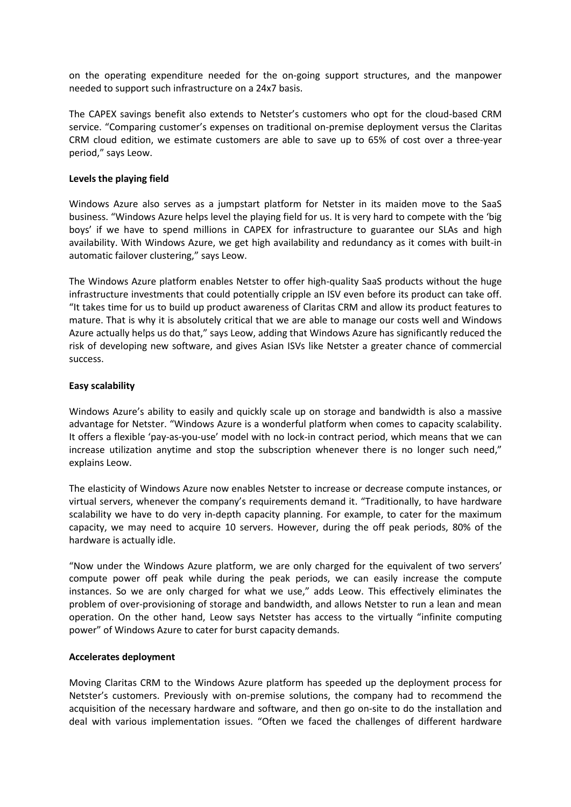on the operating expenditure needed for the on-going support structures, and the manpower needed to support such infrastructure on a 24x7 basis.

The CAPEX savings benefit also extends to Netster's customers who opt for the cloud-based CRM service. "Comparing customer's expenses on traditional on-premise deployment versus the Claritas CRM cloud edition, we estimate customers are able to save up to 65% of cost over a three-year period," says Leow.

# **Levels the playing field**

Windows Azure also serves as a jumpstart platform for Netster in its maiden move to the SaaS business. "Windows Azure helps level the playing field for us. It is very hard to compete with the 'big boys' if we have to spend millions in CAPEX for infrastructure to guarantee our SLAs and high availability. With Windows Azure, we get high availability and redundancy as it comes with built-in automatic failover clustering," says Leow.

The Windows Azure platform enables Netster to offer high-quality SaaS products without the huge infrastructure investments that could potentially cripple an ISV even before its product can take off. "It takes time for us to build up product awareness of Claritas CRM and allow its product features to mature. That is why it is absolutely critical that we are able to manage our costs well and Windows Azure actually helps us do that," says Leow, adding that Windows Azure has significantly reduced the risk of developing new software, and gives Asian ISVs like Netster a greater chance of commercial success.

## **Easy scalability**

Windows Azure's ability to easily and quickly scale up on storage and bandwidth is also a massive advantage for Netster. "Windows Azure is a wonderful platform when comes to capacity scalability. It offers a flexible 'pay-as-you-use' model with no lock-in contract period, which means that we can increase utilization anytime and stop the subscription whenever there is no longer such need," explains Leow.

The elasticity of Windows Azure now enables Netster to increase or decrease compute instances, or virtual servers, whenever the company's requirements demand it. "Traditionally, to have hardware scalability we have to do very in-depth capacity planning. For example, to cater for the maximum capacity, we may need to acquire 10 servers. However, during the off peak periods, 80% of the hardware is actually idle.

"Now under the Windows Azure platform, we are only charged for the equivalent of two servers' compute power off peak while during the peak periods, we can easily increase the compute instances. So we are only charged for what we use," adds Leow. This effectively eliminates the problem of over-provisioning of storage and bandwidth, and allows Netster to run a lean and mean operation. On the other hand, Leow says Netster has access to the virtually "infinite computing power" of Windows Azure to cater for burst capacity demands.

#### **Accelerates deployment**

Moving Claritas CRM to the Windows Azure platform has speeded up the deployment process for Netster's customers. Previously with on-premise solutions, the company had to recommend the acquisition of the necessary hardware and software, and then go on-site to do the installation and deal with various implementation issues. "Often we faced the challenges of different hardware